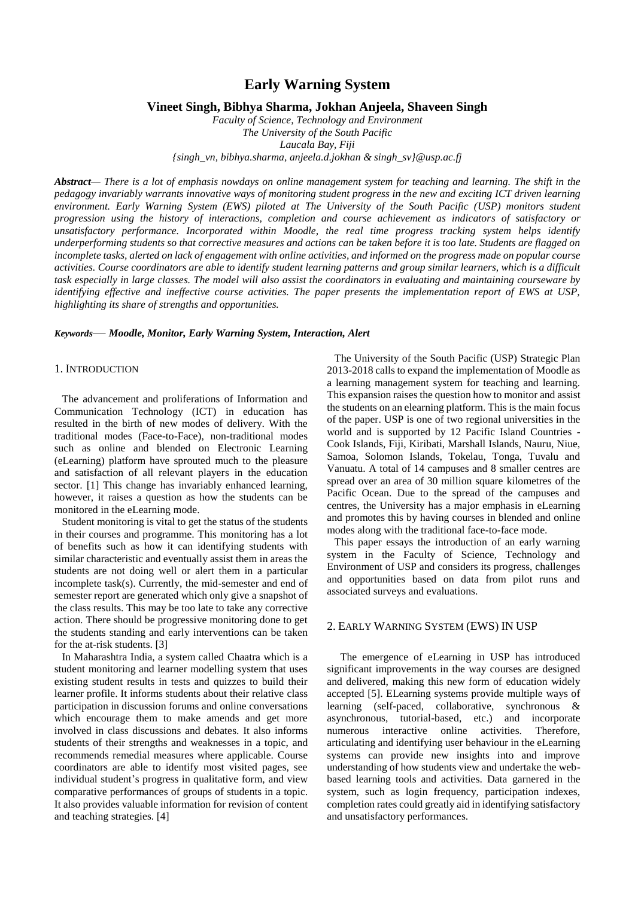# **Early Warning System**

### **Vineet Singh, Bibhya Sharma, Jokhan Anjeela, Shaveen Singh**

*Faculty of Science, Technology and Environment The University of the South Pacific Laucala Bay, Fiji {singh\_vn, bibhya.sharma, anjeela.d.jokhan & singh\_sv}@usp.ac.fj*

*Abstract— There is a lot of emphasis nowdays on online management system for teaching and learning. The shift in the pedagogy invariably warrants innovative ways of monitoring student progress in the new and exciting ICT driven learning environment. Early Warning System (EWS) piloted at The University of the South Pacific (USP) monitors student progression using the history of interactions, completion and course achievement as indicators of satisfactory or unsatisfactory performance. Incorporated within Moodle, the real time progress tracking system helps identify underperforming students so that corrective measures and actions can be taken before it is too late. Students are flagged on incomplete tasks, alerted on lack of engagement with online activities, and informed on the progress made on popular course activities. Course coordinators are able to identify student learning patterns and group similar learners, which is a difficult task especially in large classes. The model will also assist the coordinators in evaluating and maintaining courseware by identifying effective and ineffective course activities. The paper presents the implementation report of EWS at USP, highlighting its share of strengths and opportunities.*

### *Keywords*— *Moodle, Monitor, Early Warning System, Interaction, Alert*

### 1. INTRODUCTION

The advancement and proliferations of Information and Communication Technology (ICT) in education has resulted in the birth of new modes of delivery. With the traditional modes (Face-to-Face), non-traditional modes such as online and blended on Electronic Learning (eLearning) platform have sprouted much to the pleasure and satisfaction of all relevant players in the education sector. [1] This change has invariably enhanced learning, however, it raises a question as how the students can be monitored in the eLearning mode.

Student monitoring is vital to get the status of the students in their courses and programme. This monitoring has a lot of benefits such as how it can identifying students with similar characteristic and eventually assist them in areas the students are not doing well or alert them in a particular incomplete task(s). Currently, the mid-semester and end of semester report are generated which only give a snapshot of the class results. This may be too late to take any corrective action. There should be progressive monitoring done to get the students standing and early interventions can be taken for the at-risk students. [3]

In Maharashtra India, a system called Chaatra which is a student monitoring and learner modelling system that uses existing student results in tests and quizzes to build their learner profile. It informs students about their relative class participation in discussion forums and online conversations which encourage them to make amends and get more involved in class discussions and debates. It also informs students of their strengths and weaknesses in a topic, and recommends remedial measures where applicable. Course coordinators are able to identify most visited pages, see individual student's progress in qualitative form, and view comparative performances of groups of students in a topic. It also provides valuable information for revision of content and teaching strategies. [4]

The University of the South Pacific (USP) Strategic Plan 2013-2018 calls to expand the implementation of Moodle as a learning management system for teaching and learning. This expansion raises the question how to monitor and assist the students on an elearning platform. This is the main focus of the paper. USP is one of two regional universities in the world and is supported by 12 Pacific Island Countries - Cook Islands, Fiji, Kiribati, Marshall Islands, Nauru, Niue, Samoa, Solomon Islands, Tokelau, Tonga, Tuvalu and Vanuatu. A total of 14 campuses and 8 smaller centres are spread over an area of 30 million square kilometres of the Pacific Ocean. Due to the spread of the campuses and centres, the University has a major emphasis in eLearning and promotes this by having courses in blended and online modes along with the traditional face-to-face mode.

This paper essays the introduction of an early warning system in the Faculty of Science, Technology and Environment of USP and considers its progress, challenges and opportunities based on data from pilot runs and associated surveys and evaluations.

# 2. EARLY WARNING SYSTEM (EWS) IN USP

 The emergence of eLearning in USP has introduced significant improvements in the way courses are designed and delivered, making this new form of education widely accepted [5]. ELearning systems provide multiple ways of learning (self-paced, collaborative, synchronous & asynchronous, tutorial-based, etc.) and incorporate numerous interactive online activities. articulating and identifying user behaviour in the eLearning systems can provide new insights into and improve understanding of how students view and undertake the webbased learning tools and activities. Data garnered in the system, such as login frequency, participation indexes, completion rates could greatly aid in identifying satisfactory and unsatisfactory performances.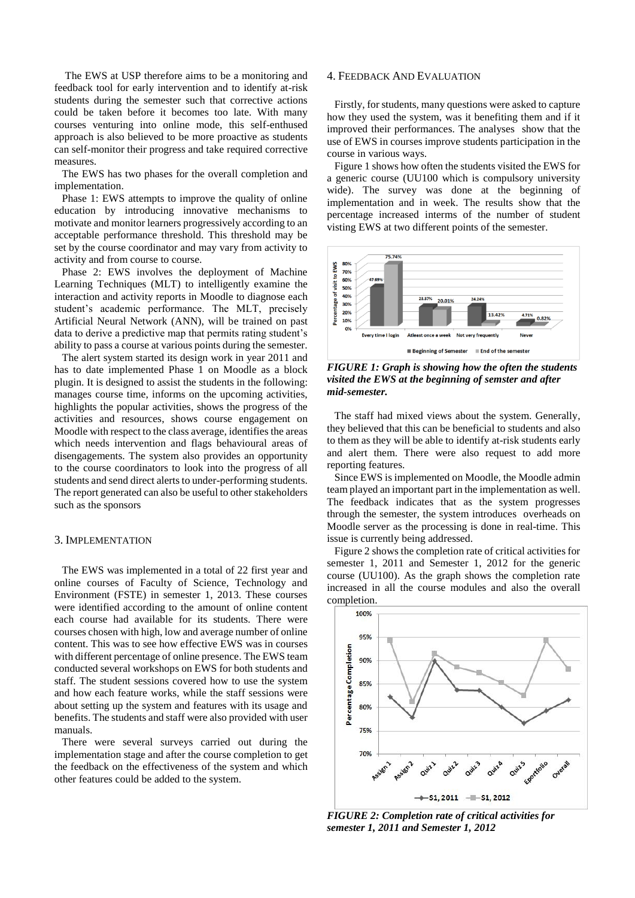The EWS at USP therefore aims to be a monitoring and feedback tool for early intervention and to identify at-risk students during the semester such that corrective actions could be taken before it becomes too late. With many courses venturing into online mode, this self-enthused approach is also believed to be more proactive as students can self-monitor their progress and take required corrective measures.

The EWS has two phases for the overall completion and implementation.

Phase 1: EWS attempts to improve the quality of online education by introducing innovative mechanisms to motivate and monitor learners progressively according to an acceptable performance threshold. This threshold may be set by the course coordinator and may vary from activity to activity and from course to course.

Phase 2: EWS involves the deployment of Machine Learning Techniques (MLT) to intelligently examine the interaction and activity reports in Moodle to diagnose each student's academic performance. The MLT, precisely Artificial Neural Network (ANN), will be trained on past data to derive a predictive map that permits rating student's ability to pass a course at various points during the semester.

The alert system started its design work in year 2011 and has to date implemented Phase 1 on Moodle as a block plugin. It is designed to assist the students in the following: manages course time, informs on the upcoming activities, highlights the popular activities, shows the progress of the activities and resources, shows course engagement on Moodle with respect to the class average, identifies the areas which needs intervention and flags behavioural areas of disengagements. The system also provides an opportunity to the course coordinators to look into the progress of all students and send direct alerts to under-performing students. The report generated can also be useful to other stakeholders such as the sponsors

#### 3. IMPLEMENTATION

The EWS was implemented in a total of 22 first year and online courses of Faculty of Science, Technology and Environment (FSTE) in semester 1, 2013. These courses were identified according to the amount of online content each course had available for its students. There were courses chosen with high, low and average number of online content. This was to see how effective EWS was in courses with different percentage of online presence. The EWS team conducted several workshops on EWS for both students and staff. The student sessions covered how to use the system and how each feature works, while the staff sessions were about setting up the system and features with its usage and benefits. The students and staff were also provided with user manuals.

There were several surveys carried out during the implementation stage and after the course completion to get the feedback on the effectiveness of the system and which other features could be added to the system.

### 4. FEEDBACK AND EVALUATION

Firstly, for students, many questions were asked to capture how they used the system, was it benefiting them and if it improved their performances. The analyses show that the use of EWS in courses improve students participation in the course in various ways.

Figure 1 shows how often the students visited the EWS for a generic course (UU100 which is compulsory university wide). The survey was done at the beginning of implementation and in week. The results show that the percentage increased interms of the number of student visting EWS at two different points of the semester.



*FIGURE 1: Graph is showing how the often the students visited the EWS at the beginning of semster and after mid-semester.*

The staff had mixed views about the system. Generally, they believed that this can be beneficial to students and also to them as they will be able to identify at-risk students early and alert them. There were also request to add more reporting features.

Since EWS is implemented on Moodle, the Moodle admin team played an important part in the implementation as well. The feedback indicates that as the system progresses through the semester, the system introduces overheads on Moodle server as the processing is done in real-time. This issue is currently being addressed.

Figure 2 shows the completion rate of critical activities for semester 1, 2011 and Semester 1, 2012 for the generic course (UU100). As the graph shows the completion rate increased in all the course modules and also the overall completion.



*FIGURE 2: Completion rate of critical activities for semester 1, 2011 and Semester 1, 2012*